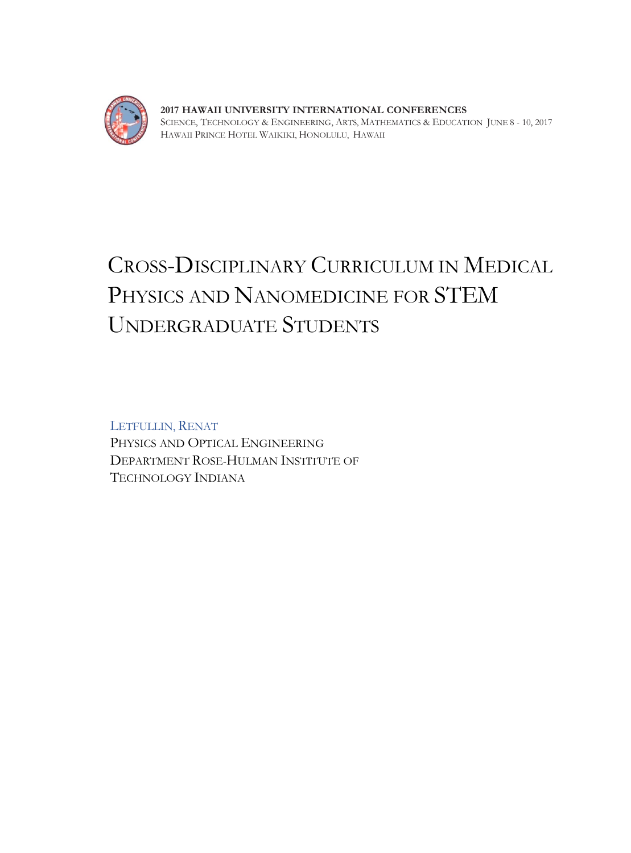

**2017 HAWAII UNIVERSITY INTERNATIONAL CONFERENCES**  SCIENCE, TECHNOLOGY & ENGINEERING, ARTS, MATHEMATICS & EDUCATION JUNE 8 - 10, 2017 HAWAII PRINCE HOTEL WAIKIKI, HONOLULU, HAWAII

# CROSS-DISCIPLINARY CURRICULUM IN MEDICAL PHYSICS AND NANOMEDICINE FOR STEM UNDERGRADUATE STUDENTS

LETFULLIN, RENAT PHYSICS AND OPTICAL ENGINEERING DEPARTMENT ROSE-HULMAN INSTITUTE OF TECHNOLOGY INDIANA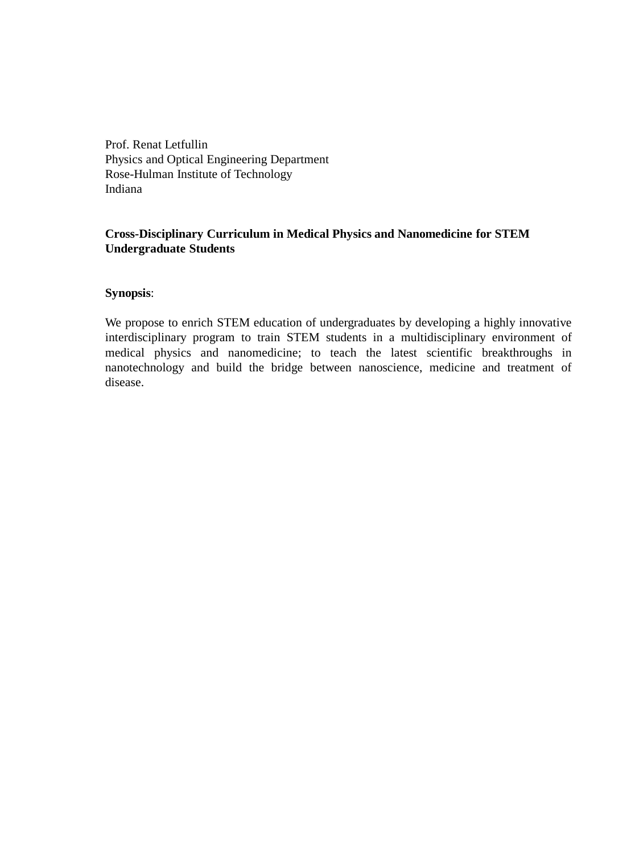Prof. Renat Letfullin Physics and Optical Engineering Department Rose-Hulman Institute of Technology Indiana

# **Cross-Disciplinary Curriculum in Medical Physics and Nanomedicine for STEM Undergraduate Students**

## **Synopsis**:

We propose to enrich STEM education of undergraduates by developing a highly innovative interdisciplinary program to train STEM students in a multidisciplinary environment of medical physics and nanomedicine; to teach the latest scientific breakthroughs in nanotechnology and build the bridge between nanoscience, medicine and treatment of disease.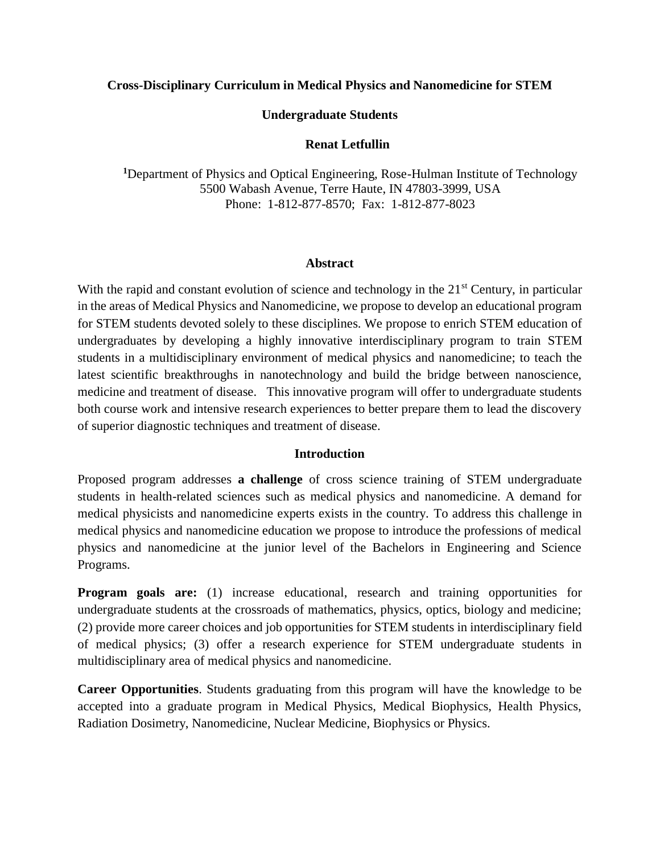#### **Cross-Disciplinary Curriculum in Medical Physics and Nanomedicine for STEM**

#### **Undergraduate Students**

#### **Renat Letfullin**

**<sup>1</sup>**Department of Physics and Optical Engineering, Rose-Hulman Institute of Technology 5500 Wabash Avenue, Terre Haute, IN 47803-3999, USA Phone: 1-812-877-8570; Fax: 1-812-877-8023

#### **Abstract**

With the rapid and constant evolution of science and technology in the  $21<sup>st</sup>$  Century, in particular in the areas of Medical Physics and Nanomedicine, we propose to develop an educational program for STEM students devoted solely to these disciplines. We propose to enrich STEM education of undergraduates by developing a highly innovative interdisciplinary program to train STEM students in a multidisciplinary environment of medical physics and nanomedicine; to teach the latest scientific breakthroughs in nanotechnology and build the bridge between nanoscience, medicine and treatment of disease. This innovative program will offer to undergraduate students both course work and intensive research experiences to better prepare them to lead the discovery of superior diagnostic techniques and treatment of disease.

## **Introduction**

Proposed program addresses **a challenge** of cross science training of STEM undergraduate students in health-related sciences such as medical physics and nanomedicine. A demand for medical physicists and nanomedicine experts exists in the country. To address this challenge in medical physics and nanomedicine education we propose to introduce the professions of medical physics and nanomedicine at the junior level of the Bachelors in Engineering and Science Programs.

**Program goals are:** (1) increase educational, research and training opportunities for undergraduate students at the crossroads of mathematics, physics, optics, biology and medicine; (2) provide more career choices and job opportunities for STEM students in interdisciplinary field of medical physics; (3) offer a research experience for STEM undergraduate students in multidisciplinary area of medical physics and nanomedicine.

**Career Opportunities**. Students graduating from this program will have the knowledge to be accepted into a graduate program in Medical Physics, Medical Biophysics, Health Physics, Radiation Dosimetry, Nanomedicine, Nuclear Medicine, Biophysics or Physics.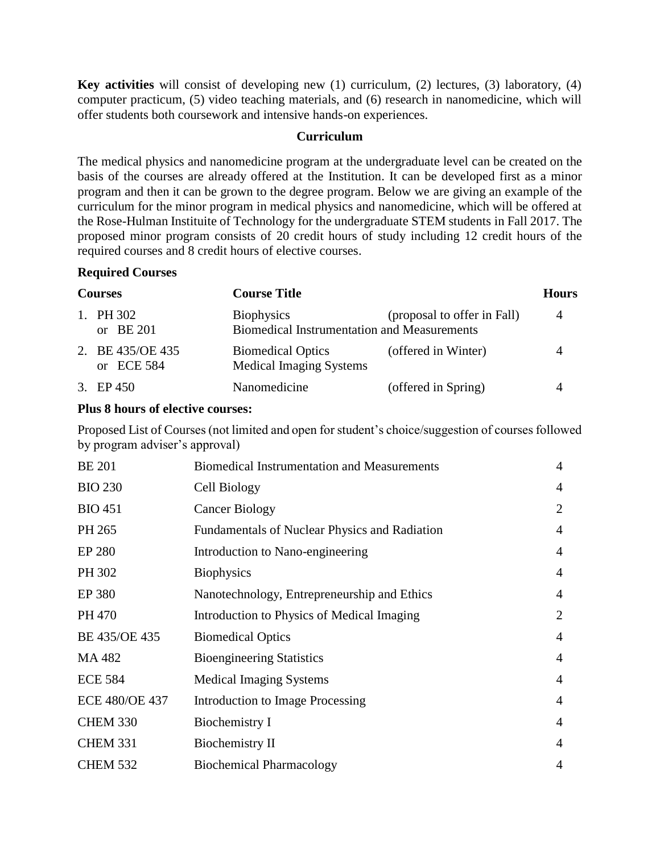**Key activities** will consist of developing new (1) curriculum, (2) lectures, (3) laboratory, (4) computer practicum, (5) video teaching materials, and (6) research in nanomedicine, which will offer students both coursework and intensive hands-on experiences.

## **Curriculum**

The medical physics and nanomedicine program at the undergraduate level can be created on the basis of the courses are already offered at the Institution. It can be developed first as a minor program and then it can be grown to the degree program. Below we are giving an example of the curriculum for the minor program in medical physics and nanomedicine, which will be offered at the Rose-Hulman Instituite of Technology for the undergraduate STEM students in Fall 2017. The proposed minor program consists of 20 credit hours of study including 12 credit hours of the required courses and 8 credit hours of elective courses.

# **Required Courses**

| <b>Courses</b> |                                | <b>Course Title</b>                                                     |                             | <b>Hours</b> |
|----------------|--------------------------------|-------------------------------------------------------------------------|-----------------------------|--------------|
|                | 1. PH 302<br>or $BE 201$       | <b>Biophysics</b><br><b>Biomedical Instrumentation and Measurements</b> | (proposal to offer in Fall) | 4            |
|                | 2. BE 435/OE 435<br>or ECE 584 | <b>Biomedical Optics</b><br><b>Medical Imaging Systems</b>              | (offered in Winter)         |              |
|                | 3. EP 450                      | Nanomedicine                                                            | (offered in Spring)         | 4            |

# **Plus 8 hours of elective courses:**

Proposed List of Courses (not limited and open for student's choice/suggestion of courses followed by program adviser's approval)

| <b>BE 201</b>         | <b>Biomedical Instrumentation and Measurements</b> | $\overline{4}$ |
|-----------------------|----------------------------------------------------|----------------|
| <b>BIO 230</b>        | Cell Biology                                       | $\overline{4}$ |
| <b>BIO 451</b>        | <b>Cancer Biology</b>                              | $\overline{2}$ |
| PH 265                | Fundamentals of Nuclear Physics and Radiation      | $\overline{4}$ |
| <b>EP 280</b>         | Introduction to Nano-engineering                   | $\overline{4}$ |
| PH 302                | <b>Biophysics</b>                                  | $\overline{4}$ |
| EP 380                | Nanotechnology, Entrepreneurship and Ethics        | $\overline{4}$ |
| PH 470                | Introduction to Physics of Medical Imaging         | $\overline{2}$ |
| BE 435/OE 435         | <b>Biomedical Optics</b>                           | $\overline{4}$ |
| MA 482                | <b>Bioengineering Statistics</b>                   | $\overline{4}$ |
| <b>ECE 584</b>        | <b>Medical Imaging Systems</b>                     | $\overline{4}$ |
| <b>ECE 480/OE 437</b> | Introduction to Image Processing                   | $\overline{4}$ |
| <b>CHEM 330</b>       | Biochemistry I                                     | $\overline{4}$ |
| <b>CHEM 331</b>       | Biochemistry II                                    | $\overline{4}$ |
| <b>CHEM 532</b>       | <b>Biochemical Pharmacology</b>                    | $\overline{4}$ |